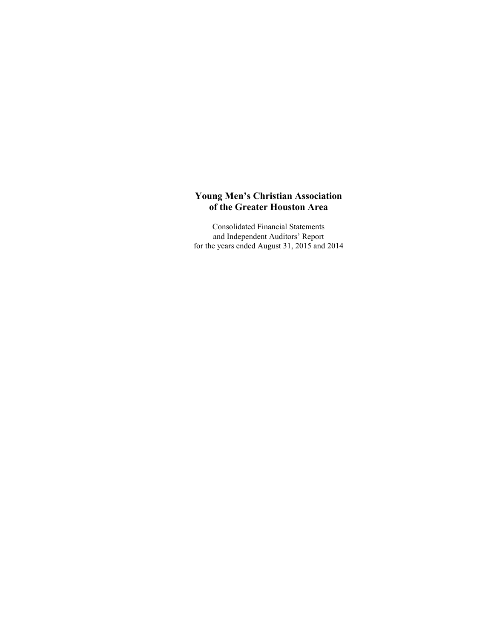Consolidated Financial Statements and Independent Auditors' Report for the years ended August 31, 2015 and 2014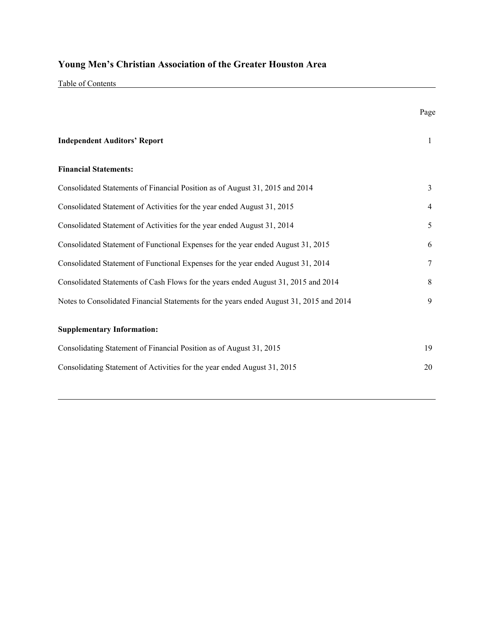Table of Contents

|                                                                                         | Page           |
|-----------------------------------------------------------------------------------------|----------------|
| <b>Independent Auditors' Report</b>                                                     | $\mathbf{1}$   |
| <b>Financial Statements:</b>                                                            |                |
| Consolidated Statements of Financial Position as of August 31, 2015 and 2014            | $\overline{3}$ |
| Consolidated Statement of Activities for the year ended August 31, 2015                 | $\overline{4}$ |
| Consolidated Statement of Activities for the year ended August 31, 2014                 | 5              |
| Consolidated Statement of Functional Expenses for the year ended August 31, 2015        | 6              |
| Consolidated Statement of Functional Expenses for the year ended August 31, 2014        | $\tau$         |
| Consolidated Statements of Cash Flows for the years ended August 31, 2015 and 2014      | 8              |
| Notes to Consolidated Financial Statements for the years ended August 31, 2015 and 2014 | 9              |
| <b>Supplementary Information:</b>                                                       |                |
| Consolidating Statement of Financial Position as of August 31, 2015                     | 19             |
| Consolidating Statement of Activities for the year ended August 31, 2015                | 20             |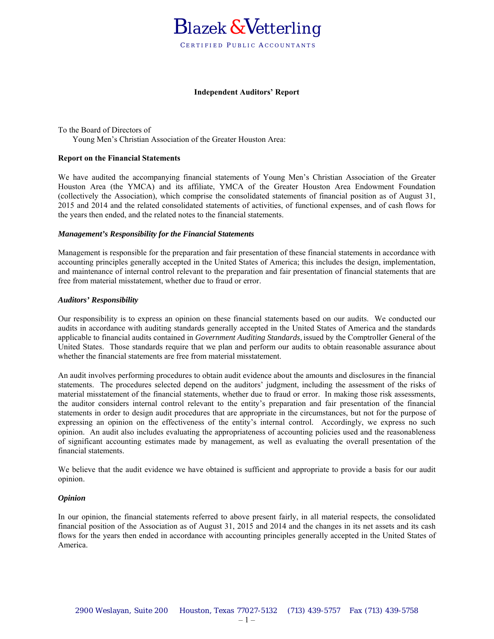

#### **Independent Auditors' Report**

To the Board of Directors of Young Men's Christian Association of the Greater Houston Area:

#### **Report on the Financial Statements**

We have audited the accompanying financial statements of Young Men's Christian Association of the Greater Houston Area (the YMCA) and its affiliate, YMCA of the Greater Houston Area Endowment Foundation (collectively the Association), which comprise the consolidated statements of financial position as of August 31, 2015 and 2014 and the related consolidated statements of activities, of functional expenses, and of cash flows for the years then ended, and the related notes to the financial statements.

#### *Management's Responsibility for the Financial Statements*

Management is responsible for the preparation and fair presentation of these financial statements in accordance with accounting principles generally accepted in the United States of America; this includes the design, implementation, and maintenance of internal control relevant to the preparation and fair presentation of financial statements that are free from material misstatement, whether due to fraud or error.

#### *Auditors' Responsibility*

Our responsibility is to express an opinion on these financial statements based on our audits. We conducted our audits in accordance with auditing standards generally accepted in the United States of America and the standards applicable to financial audits contained in *Government Auditing Standards,* issued by the Comptroller General of the United States. Those standards require that we plan and perform our audits to obtain reasonable assurance about whether the financial statements are free from material misstatement.

An audit involves performing procedures to obtain audit evidence about the amounts and disclosures in the financial statements. The procedures selected depend on the auditors' judgment, including the assessment of the risks of material misstatement of the financial statements, whether due to fraud or error. In making those risk assessments, the auditor considers internal control relevant to the entity's preparation and fair presentation of the financial statements in order to design audit procedures that are appropriate in the circumstances, but not for the purpose of expressing an opinion on the effectiveness of the entity's internal control. Accordingly, we express no such opinion. An audit also includes evaluating the appropriateness of accounting policies used and the reasonableness of significant accounting estimates made by management, as well as evaluating the overall presentation of the financial statements.

We believe that the audit evidence we have obtained is sufficient and appropriate to provide a basis for our audit opinion.

#### *Opinion*

In our opinion, the financial statements referred to above present fairly, in all material respects, the consolidated financial position of the Association as of August 31, 2015 and 2014 and the changes in its net assets and its cash flows for the years then ended in accordance with accounting principles generally accepted in the United States of America.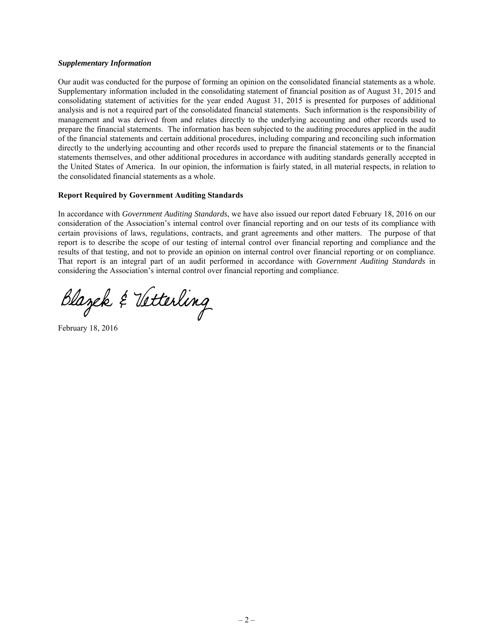#### *Supplementary Information*

Our audit was conducted for the purpose of forming an opinion on the consolidated financial statements as a whole. Supplementary information included in the consolidating statement of financial position as of August 31, 2015 and consolidating statement of activities for the year ended August 31, 2015 is presented for purposes of additional analysis and is not a required part of the consolidated financial statements. Such information is the responsibility of management and was derived from and relates directly to the underlying accounting and other records used to prepare the financial statements. The information has been subjected to the auditing procedures applied in the audit of the financial statements and certain additional procedures, including comparing and reconciling such information directly to the underlying accounting and other records used to prepare the financial statements or to the financial statements themselves, and other additional procedures in accordance with auditing standards generally accepted in the United States of America. In our opinion, the information is fairly stated, in all material respects, in relation to the consolidated financial statements as a whole.

### **Report Required by Government Auditing Standards**

In accordance with *Government Auditing Standards*, we have also issued our report dated February 18, 2016 on our consideration of the Association's internal control over financial reporting and on our tests of its compliance with certain provisions of laws, regulations, contracts, and grant agreements and other matters. The purpose of that report is to describe the scope of our testing of internal control over financial reporting and compliance and the results of that testing, and not to provide an opinion on internal control over financial reporting or on compliance. That report is an integral part of an audit performed in accordance with *Government Auditing Standards* in considering the Association's internal control over financial reporting and compliance.

Blazek & Vetterling

February 18, 2016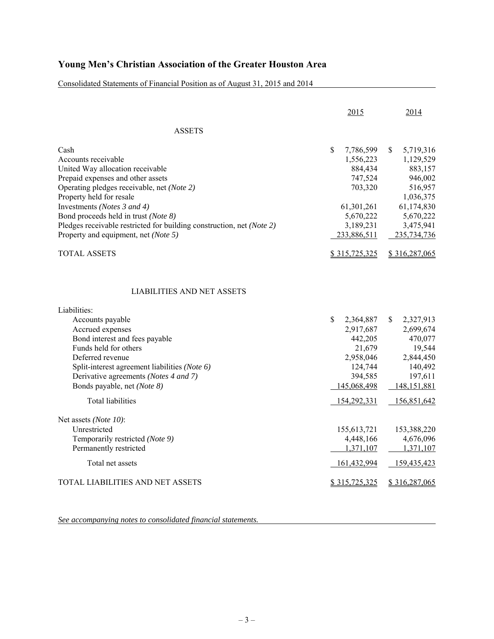Consolidated Statements of Financial Position as of August 31, 2015 and 2014

| 2015                                                                                                                                  | 2014                                                                                                                                               |
|---------------------------------------------------------------------------------------------------------------------------------------|----------------------------------------------------------------------------------------------------------------------------------------------------|
|                                                                                                                                       |                                                                                                                                                    |
| \$<br>7,786,599<br>1,556,223<br>884,434<br>747,524<br>703,320<br>61,301,261<br>5,670,222<br>3,189,231<br>233,886,511<br>\$315,725,325 | \$<br>5,719,316<br>1,129,529<br>883,157<br>946,002<br>516,957<br>1,036,375<br>61,174,830<br>5,670,222<br>3,475,941<br>235,734,736<br>\$316,287,065 |
|                                                                                                                                       |                                                                                                                                                    |
| \$<br>2,364,887<br>2,917,687<br>442,205<br>21,679<br>2,958,046<br>124,744<br>394,585<br>145,068,498<br>154,292,331                    | \$<br>2,327,913<br>2,699,674<br>470,077<br>19,544<br>2,844,450<br>140,492<br>197,611<br>148, 151, 881<br>156,851,642                               |
| 155, 613, 721<br>4,448,166<br>1,371,107<br>161,432,994<br>\$315,725,325                                                               | 153,388,220<br>4,676,096<br>1,371,107<br>159,435,423<br>\$316,287,065                                                                              |
|                                                                                                                                       |                                                                                                                                                    |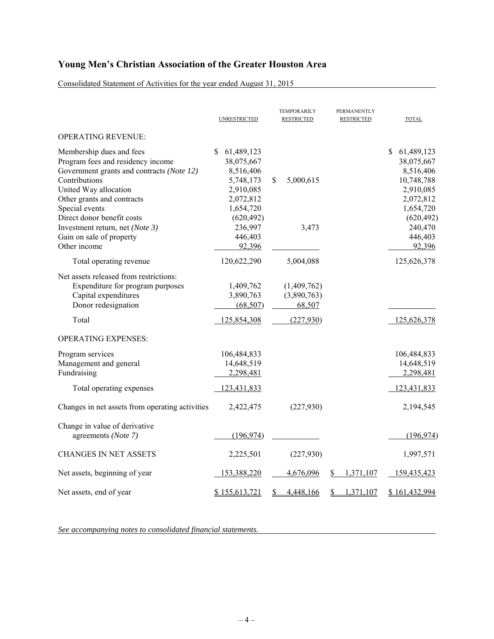Consolidated Statement of Activities for the year ended August 31, 2015

|                                                                                                                                                                                                                                    | <b>UNRESTRICTED</b>                                                                                            | <b>TEMPORARILY</b><br><b>RESTRICTED</b> | PERMANENTLY<br><b>RESTRICTED</b> | <b>TOTAL</b>                                                                                                   |
|------------------------------------------------------------------------------------------------------------------------------------------------------------------------------------------------------------------------------------|----------------------------------------------------------------------------------------------------------------|-----------------------------------------|----------------------------------|----------------------------------------------------------------------------------------------------------------|
| <b>OPERATING REVENUE:</b>                                                                                                                                                                                                          |                                                                                                                |                                         |                                  |                                                                                                                |
| Membership dues and fees<br>Program fees and residency income<br>Government grants and contracts (Note 12)<br>Contributions<br>United Way allocation<br>Other grants and contracts<br>Special events<br>Direct donor benefit costs | \$.<br>61,489,123<br>38,075,667<br>8,516,406<br>5,748,173<br>2,910,085<br>2,072,812<br>1,654,720<br>(620, 492) | \$<br>5,000,615                         |                                  | \$<br>61,489,123<br>38,075,667<br>8,516,406<br>10,748,788<br>2,910,085<br>2,072,812<br>1,654,720<br>(620, 492) |
| Investment return, net (Note 3)<br>Gain on sale of property<br>Other income                                                                                                                                                        | 236,997<br>446,403<br>92,396                                                                                   | 3,473                                   |                                  | 240,470<br>446,403<br>92,396                                                                                   |
| Total operating revenue                                                                                                                                                                                                            | 120,622,290                                                                                                    | 5,004,088                               |                                  | 125,626,378                                                                                                    |
| Net assets released from restrictions:<br>Expenditure for program purposes<br>Capital expenditures<br>Donor redesignation                                                                                                          | 1,409,762<br>3,890,763<br>(68, 507)                                                                            | (1,409,762)<br>(3,890,763)<br>68,507    |                                  |                                                                                                                |
| Total                                                                                                                                                                                                                              | 125,854,308                                                                                                    | (227, 930)                              |                                  | 125,626,378                                                                                                    |
| <b>OPERATING EXPENSES:</b>                                                                                                                                                                                                         |                                                                                                                |                                         |                                  |                                                                                                                |
| Program services<br>Management and general<br>Fundraising<br>Total operating expenses                                                                                                                                              | 106,484,833<br>14,648,519<br>2,298,481<br>123,431,833                                                          |                                         |                                  | 106,484,833<br>14,648,519<br>2,298,481<br>123,431,833                                                          |
| Changes in net assets from operating activities                                                                                                                                                                                    | 2,422,475                                                                                                      | (227,930)                               |                                  | 2,194,545                                                                                                      |
| Change in value of derivative<br>agreements (Note 7)                                                                                                                                                                               | (196, 974)                                                                                                     |                                         |                                  | (196, 974)                                                                                                     |
| <b>CHANGES IN NET ASSETS</b>                                                                                                                                                                                                       | 2,225,501                                                                                                      | (227,930)                               |                                  | 1,997,571                                                                                                      |
| Net assets, beginning of year                                                                                                                                                                                                      | 153,388,220                                                                                                    | 4,676,096                               | 1,371,107<br>S                   | 159,435,423                                                                                                    |
| Net assets, end of year                                                                                                                                                                                                            | \$155,613,721                                                                                                  | 4,448,166                               | 1,371,107                        | \$161,432,994                                                                                                  |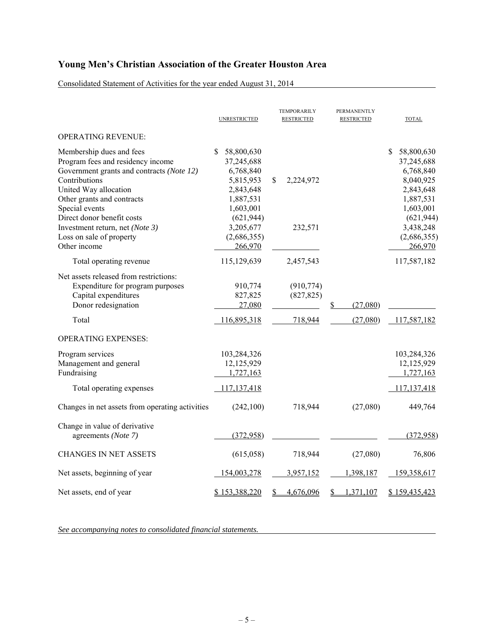Consolidated Statement of Activities for the year ended August 31, 2014

|                                                                                                                                                                                                      | <b>UNRESTRICTED</b>                                                                            | <b>TEMPORARILY</b><br><b>RESTRICTED</b> | PERMANENTLY<br><b>RESTRICTED</b> | <b>TOTAL</b>                                                                                    |
|------------------------------------------------------------------------------------------------------------------------------------------------------------------------------------------------------|------------------------------------------------------------------------------------------------|-----------------------------------------|----------------------------------|-------------------------------------------------------------------------------------------------|
| <b>OPERATING REVENUE:</b>                                                                                                                                                                            |                                                                                                |                                         |                                  |                                                                                                 |
| Membership dues and fees<br>Program fees and residency income<br>Government grants and contracts (Note 12)<br>Contributions<br>United Way allocation<br>Other grants and contracts<br>Special events | S<br>58,800,630<br>37,245,688<br>6,768,840<br>5,815,953<br>2,843,648<br>1,887,531<br>1,603,001 | \$<br>2,224,972                         |                                  | \$<br>58,800,630<br>37,245,688<br>6,768,840<br>8,040,925<br>2,843,648<br>1,887,531<br>1,603,001 |
| Direct donor benefit costs<br>Investment return, net (Note 3)<br>Loss on sale of property<br>Other income                                                                                            | (621, 944)<br>3,205,677<br>(2,686,355)<br>266,970                                              | 232,571                                 |                                  | (621, 944)<br>3,438,248<br>(2,686,355)<br>266,970                                               |
| Total operating revenue                                                                                                                                                                              | 115,129,639                                                                                    | 2,457,543                               |                                  | 117,587,182                                                                                     |
| Net assets released from restrictions:<br>Expenditure for program purposes<br>Capital expenditures<br>Donor redesignation                                                                            | 910,774<br>827,825<br>27,080                                                                   | (910, 774)<br>(827, 825)                | (27,080)<br>S                    |                                                                                                 |
| Total                                                                                                                                                                                                | 116,895,318                                                                                    | 718,944                                 | (27,080)                         | 117,587,182                                                                                     |
| <b>OPERATING EXPENSES:</b>                                                                                                                                                                           |                                                                                                |                                         |                                  |                                                                                                 |
| Program services<br>Management and general<br>Fundraising<br>Total operating expenses                                                                                                                | 103,284,326<br>12,125,929<br>1,727,163<br>117, 137, 418                                        |                                         |                                  | 103,284,326<br>12,125,929<br>1,727,163<br>117, 137, 418                                         |
| Changes in net assets from operating activities                                                                                                                                                      | (242, 100)                                                                                     | 718,944                                 | (27,080)                         | 449,764                                                                                         |
| Change in value of derivative<br>agreements (Note 7)                                                                                                                                                 | (372, 958)                                                                                     |                                         |                                  | (372,958)                                                                                       |
| <b>CHANGES IN NET ASSETS</b>                                                                                                                                                                         | (615,058)                                                                                      | 718,944                                 | (27,080)                         | 76,806                                                                                          |
| Net assets, beginning of year                                                                                                                                                                        | 154,003,278                                                                                    | 3,957,152                               | 1,398,187                        | 159,358,617                                                                                     |
| Net assets, end of year                                                                                                                                                                              | \$153,388,220                                                                                  | 4,676,096                               | 1,371,107                        | \$159,435,423                                                                                   |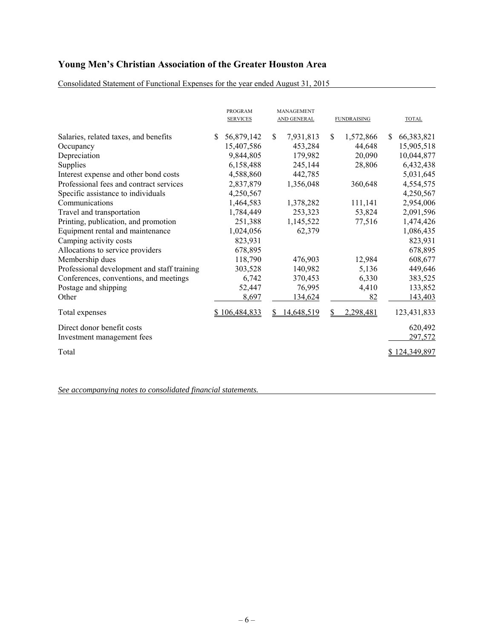Consolidated Statement of Functional Expenses for the year ended August 31, 2015

|                                             |    | <b>PROGRAM</b><br><b>SERVICES</b> |               | MANAGEMENT<br>AND GENERAL |     | <b>FUNDRAISING</b> |    | <b>TOTAL</b>  |
|---------------------------------------------|----|-----------------------------------|---------------|---------------------------|-----|--------------------|----|---------------|
| Salaries, related taxes, and benefits       | S. | 56,879,142                        | <sup>\$</sup> | 7,931,813                 | \$. | 1,572,866          | S. | 66,383,821    |
| Occupancy                                   |    | 15,407,586                        |               | 453,284                   |     | 44,648             |    | 15,905,518    |
| Depreciation                                |    | 9,844,805                         |               | 179,982                   |     | 20,090             |    | 10,044,877    |
| Supplies                                    |    | 6,158,488                         |               | 245,144                   |     | 28,806             |    | 6,432,438     |
| Interest expense and other bond costs       |    | 4,588,860                         |               | 442,785                   |     |                    |    | 5,031,645     |
| Professional fees and contract services     |    | 2,837,879                         |               | 1,356,048                 |     | 360,648            |    | 4,554,575     |
| Specific assistance to individuals          |    | 4,250,567                         |               |                           |     |                    |    | 4,250,567     |
| Communications                              |    | 1,464,583                         |               | 1,378,282                 |     | 111,141            |    | 2,954,006     |
| Travel and transportation                   |    | 1,784,449                         |               | 253,323                   |     | 53,824             |    | 2,091,596     |
| Printing, publication, and promotion        |    | 251,388                           |               | 1,145,522                 |     | 77,516             |    | 1,474,426     |
| Equipment rental and maintenance            |    | 1,024,056                         |               | 62,379                    |     |                    |    | 1,086,435     |
| Camping activity costs                      |    | 823,931                           |               |                           |     |                    |    | 823,931       |
| Allocations to service providers            |    | 678,895                           |               |                           |     |                    |    | 678,895       |
| Membership dues                             |    | 118,790                           |               | 476,903                   |     | 12,984             |    | 608,677       |
| Professional development and staff training |    | 303,528                           |               | 140,982                   |     | 5,136              |    | 449,646       |
| Conferences, conventions, and meetings      |    | 6,742                             |               | 370,453                   |     | 6,330              |    | 383,525       |
| Postage and shipping                        |    | 52,447                            |               | 76,995                    |     | 4,410              |    | 133,852       |
| Other                                       |    | 8,697                             |               | 134,624                   |     | 82                 |    | 143,403       |
| Total expenses                              |    | \$106,484,833                     |               | 14,648,519                | S   | 2,298,481          |    | 123,431,833   |
| Direct donor benefit costs                  |    |                                   |               |                           |     |                    |    | 620,492       |
| Investment management fees                  |    |                                   |               |                           |     |                    |    | 297,572       |
| Total                                       |    |                                   |               |                           |     |                    |    | \$124,349,897 |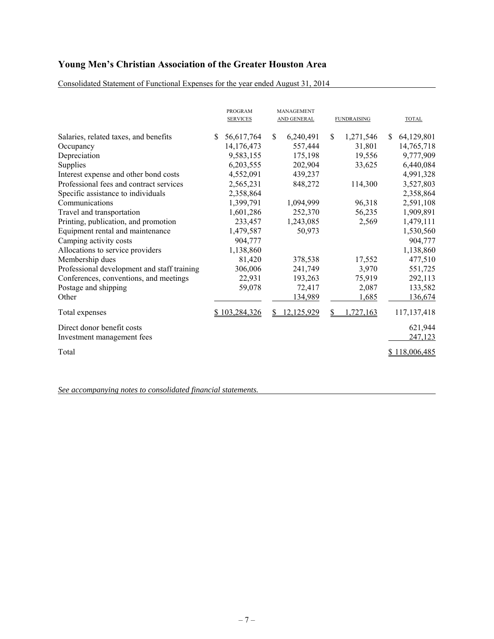Consolidated Statement of Functional Expenses for the year ended August 31, 2014

|                                             |    | <b>PROGRAM</b><br><b>SERVICES</b> |               | MANAGEMENT<br>AND GENERAL |     | <b>FUNDRAISING</b> |    | <b>TOTAL</b>         |
|---------------------------------------------|----|-----------------------------------|---------------|---------------------------|-----|--------------------|----|----------------------|
| Salaries, related taxes, and benefits       | S. | 56,617,764                        | <sup>\$</sup> | 6,240,491                 | \$. | 1,271,546          | S. | 64,129,801           |
| Occupancy                                   |    | 14,176,473                        |               | 557,444                   |     | 31,801             |    | 14,765,718           |
| Depreciation                                |    | 9,583,155                         |               | 175,198                   |     | 19,556             |    | 9,777,909            |
| Supplies                                    |    | 6,203,555                         |               | 202,904                   |     | 33,625             |    | 6,440,084            |
| Interest expense and other bond costs       |    | 4,552,091                         |               | 439,237                   |     |                    |    | 4,991,328            |
| Professional fees and contract services     |    | 2,565,231                         |               | 848,272                   |     | 114,300            |    | 3,527,803            |
| Specific assistance to individuals          |    | 2,358,864                         |               |                           |     |                    |    | 2,358,864            |
| Communications                              |    | 1,399,791                         |               | 1,094,999                 |     | 96,318             |    | 2,591,108            |
| Travel and transportation                   |    | 1,601,286                         |               | 252,370                   |     | 56,235             |    | 1,909,891            |
| Printing, publication, and promotion        |    | 233,457                           |               | 1,243,085                 |     | 2,569              |    | 1,479,111            |
| Equipment rental and maintenance            |    | 1,479,587                         |               | 50,973                    |     |                    |    | 1,530,560            |
| Camping activity costs                      |    | 904,777                           |               |                           |     |                    |    | 904,777              |
| Allocations to service providers            |    | 1,138,860                         |               |                           |     |                    |    | 1,138,860            |
| Membership dues                             |    | 81,420                            |               | 378,538                   |     | 17,552             |    | 477,510              |
| Professional development and staff training |    | 306,006                           |               | 241,749                   |     | 3,970              |    | 551,725              |
| Conferences, conventions, and meetings      |    | 22,931                            |               | 193,263                   |     | 75,919             |    | 292,113              |
| Postage and shipping                        |    | 59,078                            |               | 72,417                    |     | 2,087              |    | 133,582              |
| Other                                       |    |                                   |               | 134,989                   |     | 1,685              |    | 136,674              |
| Total expenses                              |    | \$103,284,326                     |               | <u>12,125,929</u>         |     | .727,163           |    | 117, 137, 418        |
| Direct donor benefit costs                  |    |                                   |               |                           |     |                    |    | 621,944              |
| Investment management fees                  |    |                                   |               |                           |     |                    |    | 247,123              |
| Total                                       |    |                                   |               |                           |     |                    |    | <u>\$118,006,485</u> |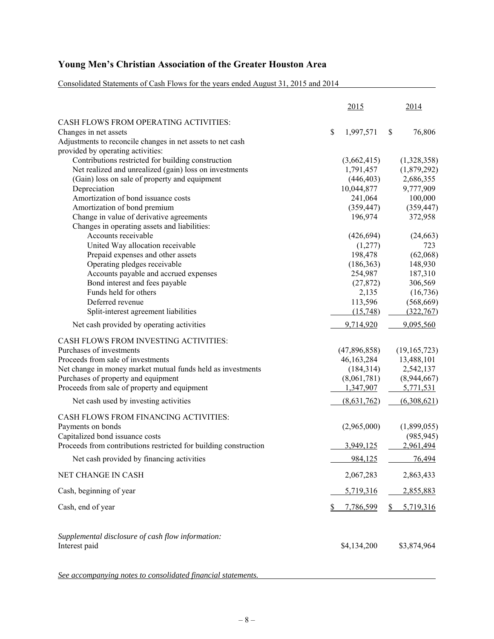Consolidated Statements of Cash Flows for the years ended August 31, 2015 and 2014

|                                                                  | 2015            | 2014           |
|------------------------------------------------------------------|-----------------|----------------|
| CASH FLOWS FROM OPERATING ACTIVITIES:                            |                 |                |
| Changes in net assets                                            | \$<br>1,997,571 | \$<br>76,806   |
| Adjustments to reconcile changes in net assets to net cash       |                 |                |
| provided by operating activities:                                |                 |                |
| Contributions restricted for building construction               | (3,662,415)     | (1,328,358)    |
| Net realized and unrealized (gain) loss on investments           | 1,791,457       | (1,879,292)    |
| (Gain) loss on sale of property and equipment                    | (446, 403)      | 2,686,355      |
| Depreciation                                                     | 10,044,877      | 9,777,909      |
| Amortization of bond issuance costs                              | 241,064         | 100,000        |
| Amortization of bond premium                                     | (359, 447)      | (359, 447)     |
| Change in value of derivative agreements                         | 196,974         | 372,958        |
| Changes in operating assets and liabilities:                     |                 |                |
| Accounts receivable                                              | (426, 694)      | (24, 663)      |
| United Way allocation receivable                                 | (1,277)         | 723            |
| Prepaid expenses and other assets                                | 198,478         | (62,068)       |
| Operating pledges receivable                                     | (186, 363)      | 148,930        |
| Accounts payable and accrued expenses                            | 254,987         | 187,310        |
| Bond interest and fees payable                                   | (27, 872)       | 306,569        |
| Funds held for others                                            | 2,135           | (16, 736)      |
| Deferred revenue                                                 | 113,596         | (568, 669)     |
| Split-interest agreement liabilities                             | (15,748)        | (322, 767)     |
| Net cash provided by operating activities                        | 9,714,920       | 9,095,560      |
| CASH FLOWS FROM INVESTING ACTIVITIES:                            |                 |                |
| Purchases of investments                                         | (47,896,858)    | (19, 165, 723) |
| Proceeds from sale of investments                                | 46, 163, 284    | 13,488,101     |
| Net change in money market mutual funds held as investments      | (184, 314)      | 2,542,137      |
| Purchases of property and equipment                              | (8,061,781)     | (8,944,667)    |
| Proceeds from sale of property and equipment                     | 1,347,907       | 5,771,531      |
| Net cash used by investing activities                            | (8,631,762)     | (6,308,621)    |
| CASH FLOWS FROM FINANCING ACTIVITIES:                            |                 |                |
| Payments on bonds                                                | (2,965,000)     | (1,899,055)    |
| Capitalized bond issuance costs                                  |                 | (985, 945)     |
| Proceeds from contributions restricted for building construction | 3,949,125       | 2,961,494      |
| Net cash provided by financing activities                        | 984,125         | 76,494         |
| NET CHANGE IN CASH                                               | 2,067,283       | 2,863,433      |
| Cash, beginning of year                                          | 5,719,316       | 2,855,883      |
|                                                                  |                 |                |
| Cash, end of year                                                | 7,786,599       | 5,719,316      |
| Supplemental disclosure of cash flow information:                |                 |                |
| Interest paid                                                    | \$4,134,200     | \$3,874,964    |
|                                                                  |                 |                |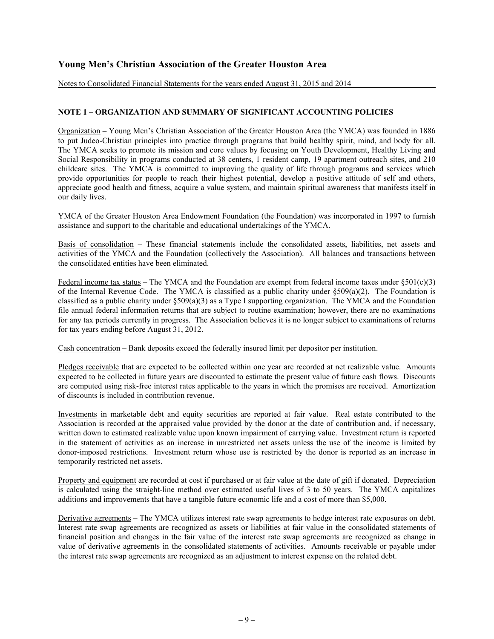Notes to Consolidated Financial Statements for the years ended August 31, 2015 and 2014

### **NOTE 1 – ORGANIZATION AND SUMMARY OF SIGNIFICANT ACCOUNTING POLICIES**

Organization – Young Men's Christian Association of the Greater Houston Area (the YMCA) was founded in 1886 to put Judeo-Christian principles into practice through programs that build healthy spirit, mind, and body for all. The YMCA seeks to promote its mission and core values by focusing on Youth Development, Healthy Living and Social Responsibility in programs conducted at 38 centers, 1 resident camp, 19 apartment outreach sites, and 210 childcare sites. The YMCA is committed to improving the quality of life through programs and services which provide opportunities for people to reach their highest potential, develop a positive attitude of self and others, appreciate good health and fitness, acquire a value system, and maintain spiritual awareness that manifests itself in our daily lives.

YMCA of the Greater Houston Area Endowment Foundation (the Foundation) was incorporated in 1997 to furnish assistance and support to the charitable and educational undertakings of the YMCA.

Basis of consolidation – These financial statements include the consolidated assets, liabilities, net assets and activities of the YMCA and the Foundation (collectively the Association). All balances and transactions between the consolidated entities have been eliminated.

Federal income tax status – The YMCA and the Foundation are exempt from federal income taxes under  $\S 501(c)(3)$ of the Internal Revenue Code. The YMCA is classified as a public charity under §509(a)(2). The Foundation is classified as a public charity under §509(a)(3) as a Type I supporting organization. The YMCA and the Foundation file annual federal information returns that are subject to routine examination; however, there are no examinations for any tax periods currently in progress. The Association believes it is no longer subject to examinations of returns for tax years ending before August 31, 2012.

Cash concentration – Bank deposits exceed the federally insured limit per depositor per institution.

Pledges receivable that are expected to be collected within one year are recorded at net realizable value. Amounts expected to be collected in future years are discounted to estimate the present value of future cash flows. Discounts are computed using risk-free interest rates applicable to the years in which the promises are received. Amortization of discounts is included in contribution revenue.

Investments in marketable debt and equity securities are reported at fair value. Real estate contributed to the Association is recorded at the appraised value provided by the donor at the date of contribution and, if necessary, written down to estimated realizable value upon known impairment of carrying value. Investment return is reported in the statement of activities as an increase in unrestricted net assets unless the use of the income is limited by donor-imposed restrictions. Investment return whose use is restricted by the donor is reported as an increase in temporarily restricted net assets.

Property and equipment are recorded at cost if purchased or at fair value at the date of gift if donated. Depreciation is calculated using the straight-line method over estimated useful lives of 3 to 50 years. The YMCA capitalizes additions and improvements that have a tangible future economic life and a cost of more than \$5,000.

Derivative agreements – The YMCA utilizes interest rate swap agreements to hedge interest rate exposures on debt. Interest rate swap agreements are recognized as assets or liabilities at fair value in the consolidated statements of financial position and changes in the fair value of the interest rate swap agreements are recognized as change in value of derivative agreements in the consolidated statements of activities. Amounts receivable or payable under the interest rate swap agreements are recognized as an adjustment to interest expense on the related debt.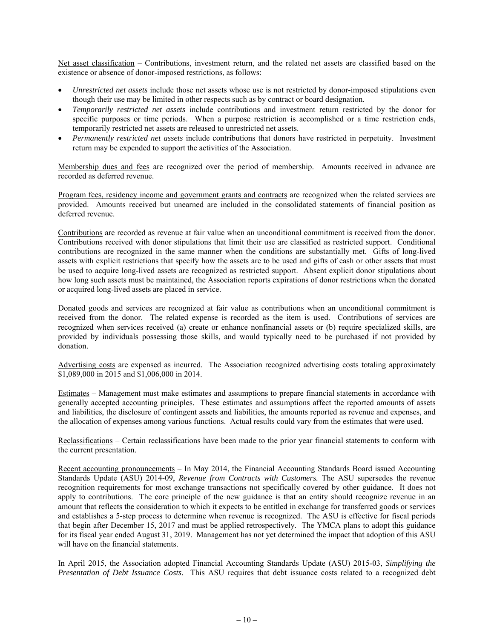Net asset classification – Contributions, investment return, and the related net assets are classified based on the existence or absence of donor-imposed restrictions, as follows:

- *Unrestricted net assets* include those net assets whose use is not restricted by donor-imposed stipulations even though their use may be limited in other respects such as by contract or board designation.
- *Temporarily restricted net assets* include contributions and investment return restricted by the donor for specific purposes or time periods. When a purpose restriction is accomplished or a time restriction ends, temporarily restricted net assets are released to unrestricted net assets.
- *Permanently restricted net assets* include contributions that donors have restricted in perpetuity. Investment return may be expended to support the activities of the Association.

Membership dues and fees are recognized over the period of membership. Amounts received in advance are recorded as deferred revenue.

Program fees, residency income and government grants and contracts are recognized when the related services are provided. Amounts received but unearned are included in the consolidated statements of financial position as deferred revenue.

Contributions are recorded as revenue at fair value when an unconditional commitment is received from the donor. Contributions received with donor stipulations that limit their use are classified as restricted support. Conditional contributions are recognized in the same manner when the conditions are substantially met. Gifts of long-lived assets with explicit restrictions that specify how the assets are to be used and gifts of cash or other assets that must be used to acquire long-lived assets are recognized as restricted support. Absent explicit donor stipulations about how long such assets must be maintained, the Association reports expirations of donor restrictions when the donated or acquired long-lived assets are placed in service.

Donated goods and services are recognized at fair value as contributions when an unconditional commitment is received from the donor. The related expense is recorded as the item is used. Contributions of services are recognized when services received (a) create or enhance nonfinancial assets or (b) require specialized skills, are provided by individuals possessing those skills, and would typically need to be purchased if not provided by donation.

Advertising costs are expensed as incurred. The Association recognized advertising costs totaling approximately \$1,089,000 in 2015 and \$1,006,000 in 2014.

Estimates – Management must make estimates and assumptions to prepare financial statements in accordance with generally accepted accounting principles. These estimates and assumptions affect the reported amounts of assets and liabilities, the disclosure of contingent assets and liabilities, the amounts reported as revenue and expenses, and the allocation of expenses among various functions. Actual results could vary from the estimates that were used.

Reclassifications – Certain reclassifications have been made to the prior year financial statements to conform with the current presentation.

Recent accounting pronouncements – In May 2014, the Financial Accounting Standards Board issued Accounting Standards Update (ASU) 2014-09, *Revenue from Contracts with Customers.* The ASU supersedes the revenue recognition requirements for most exchange transactions not specifically covered by other guidance. It does not apply to contributions. The core principle of the new guidance is that an entity should recognize revenue in an amount that reflects the consideration to which it expects to be entitled in exchange for transferred goods or services and establishes a 5-step process to determine when revenue is recognized. The ASU is effective for fiscal periods that begin after December 15, 2017 and must be applied retrospectively. The YMCA plans to adopt this guidance for its fiscal year ended August 31, 2019. Management has not yet determined the impact that adoption of this ASU will have on the financial statements.

In April 2015, the Association adopted Financial Accounting Standards Update (ASU) 2015-03, *Simplifying the Presentation of Debt Issuance Costs*. This ASU requires that debt issuance costs related to a recognized debt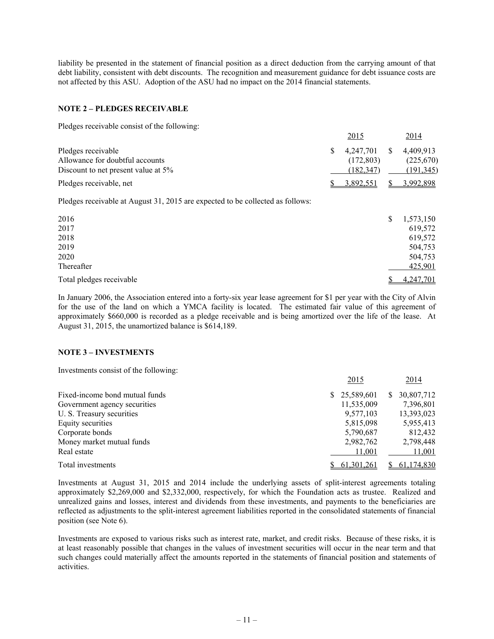liability be presented in the statement of financial position as a direct deduction from the carrying amount of that debt liability, consistent with debt discounts. The recognition and measurement guidance for debt issuance costs are not affected by this ASU. Adoption of the ASU had no impact on the 2014 financial statements.

#### **NOTE 2 – PLEDGES RECEIVABLE**

Pledges receivable consist of the following:

|                                     |              | 2015      |    | 2014       |
|-------------------------------------|--------------|-----------|----|------------|
| Pledges receivable                  | $\mathbf{s}$ | 4.247.701 | S. | 4.409.913  |
| Allowance for doubtful accounts     |              | (172.803) |    | (225,670)  |
| Discount to net present value at 5% |              | (182.347) |    | (191, 345) |
| Pledges receivable, net             |              | 3.892.551 |    | 3,992,898  |

Pledges receivable at August 31, 2015 are expected to be collected as follows:

| 2016                     | S | 1,573,150        |
|--------------------------|---|------------------|
| 2017                     |   | 619,572          |
| 2018                     |   | 619,572          |
| 2019                     |   | 504,753          |
| 2020                     |   | 504,753          |
| Thereafter               |   | 425,901          |
| Total pledges receivable |   | <u>4,247,701</u> |

In January 2006, the Association entered into a forty-six year lease agreement for \$1 per year with the City of Alvin for the use of the land on which a YMCA facility is located. The estimated fair value of this agreement of approximately \$660,000 is recorded as a pledge receivable and is being amortized over the life of the lease. At August 31, 2015, the unamortized balance is \$614,189.

### **NOTE 3 – INVESTMENTS**

Investments consist of the following:

|                                | 2015             | 2014            |
|--------------------------------|------------------|-----------------|
| Fixed-income bond mutual funds | 25,589,601<br>S. | 30,807,712<br>S |
| Government agency securities   | 11,535,009       | 7,396,801       |
| U. S. Treasury securities      | 9,577,103        | 13,393,023      |
| Equity securities              | 5,815,098        | 5,955,413       |
| Corporate bonds                | 5,790,687        | 812,432         |
| Money market mutual funds      | 2,982,762        | 2,798,448       |
| Real estate                    | 11,001           | 11,001          |
| Total investments              | 61,301,261       | 61,174,830      |

Investments at August 31, 2015 and 2014 include the underlying assets of split-interest agreements totaling approximately \$2,269,000 and \$2,332,000, respectively, for which the Foundation acts as trustee. Realized and unrealized gains and losses, interest and dividends from these investments, and payments to the beneficiaries are reflected as adjustments to the split-interest agreement liabilities reported in the consolidated statements of financial position (see Note 6).

Investments are exposed to various risks such as interest rate, market, and credit risks. Because of these risks, it is at least reasonably possible that changes in the values of investment securities will occur in the near term and that such changes could materially affect the amounts reported in the statements of financial position and statements of activities.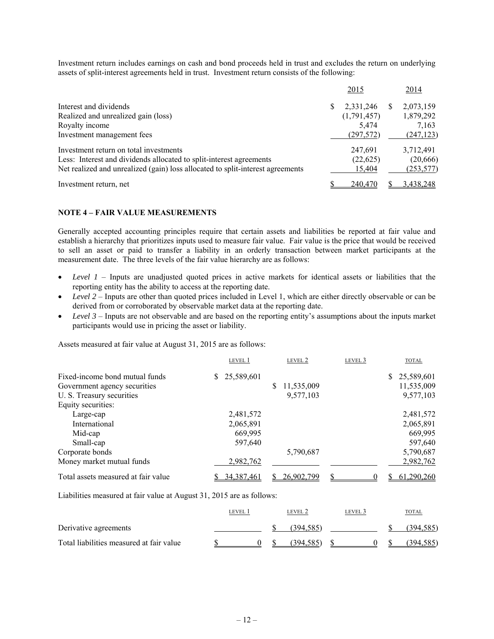Investment return includes earnings on cash and bond proceeds held in trust and excludes the return on underlying assets of split-interest agreements held in trust. Investment return consists of the following:

|                                                                                |   | 2015        |     | 2014       |
|--------------------------------------------------------------------------------|---|-------------|-----|------------|
| Interest and dividends                                                         | S | 2,331,246   | Эħ. | 2,073,159  |
| Realized and unrealized gain (loss)                                            |   | (1,791,457) |     | 1,879,292  |
| Royalty income                                                                 |   | 5.474       |     | 7,163      |
| Investment management fees                                                     |   | (297,572)   |     | (247, 123) |
| Investment return on total investments                                         |   | 247,691     |     | 3,712,491  |
| Less: Interest and dividends allocated to split-interest agreements            |   | (22, 625)   |     | (20, 666)  |
| Net realized and unrealized (gain) loss allocated to split-interest agreements |   | 15.404      |     | (253, 577) |
| Investment return, net                                                         |   | 240,470     |     | 3,438,248  |

## **NOTE 4 – FAIR VALUE MEASUREMENTS**

Generally accepted accounting principles require that certain assets and liabilities be reported at fair value and establish a hierarchy that prioritizes inputs used to measure fair value. Fair value is the price that would be received to sell an asset or paid to transfer a liability in an orderly transaction between market participants at the measurement date. The three levels of the fair value hierarchy are as follows:

- *Level 1* Inputs are unadjusted quoted prices in active markets for identical assets or liabilities that the reporting entity has the ability to access at the reporting date.
- *Level 2* Inputs are other than quoted prices included in Level 1, which are either directly observable or can be derived from or corroborated by observable market data at the reporting date.
- *Level 3* Inputs are not observable and are based on the reporting entity's assumptions about the inputs market participants would use in pricing the asset or liability.

Assets measured at fair value at August 31, 2015 are as follows:

|                                     | LEVEL 1          | LEVEL 2    | LEVEL 3 | <b>TOTAL</b>     |
|-------------------------------------|------------------|------------|---------|------------------|
| Fixed-income bond mutual funds      | 25,589,601<br>S. |            |         | 25,589,601<br>S. |
| Government agency securities        |                  | 11,535,009 |         | 11,535,009       |
| U. S. Treasury securities           |                  | 9,577,103  |         | 9,577,103        |
| Equity securities:                  |                  |            |         |                  |
| Large-cap                           | 2,481,572        |            |         | 2,481,572        |
| International                       | 2,065,891        |            |         | 2,065,891        |
| Mid-cap                             | 669,995          |            |         | 669,995          |
| Small-cap                           | 597,640          |            |         | 597,640          |
| Corporate bonds                     |                  | 5,790,687  |         | 5,790,687        |
| Money market mutual funds           | 2,982,762        |            |         | 2,982,762        |
| Total assets measured at fair value | 34,387,461       | 26,902,799 |         | 61,290,260       |

Liabilities measured at fair value at August 31, 2015 are as follows:

|                                          | LEVEL |  | LEVEL 2   | level 3 | TOTAL      |
|------------------------------------------|-------|--|-----------|---------|------------|
| Derivative agreements                    |       |  | (394.585) |         | (394.585)  |
| Total liabilities measured at fair value |       |  | (394.585) |         | (394, 585) |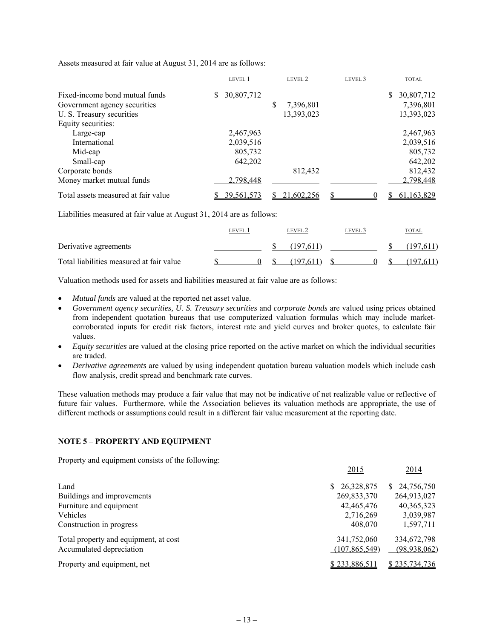Assets measured at fair value at August 31, 2014 are as follows:

|                                     | LEVEL 1          |   | LEVEL 2    | LEVEL 3 |   | <b>TOTAL</b> |
|-------------------------------------|------------------|---|------------|---------|---|--------------|
| Fixed-income bond mutual funds      | \$<br>30,807,712 |   |            |         | S | 30,807,712   |
| Government agency securities        |                  | S | 7,396,801  |         |   | 7,396,801    |
| U. S. Treasury securities           |                  |   | 13,393,023 |         |   | 13,393,023   |
| Equity securities:                  |                  |   |            |         |   |              |
| Large-cap                           | 2,467,963        |   |            |         |   | 2,467,963    |
| International                       | 2,039,516        |   |            |         |   | 2,039,516    |
| Mid-cap                             | 805,732          |   |            |         |   | 805,732      |
| Small-cap                           | 642.202          |   |            |         |   | 642,202      |
| Corporate bonds                     |                  |   | 812,432    |         |   | 812,432      |
| Money market mutual funds           | 2,798,448        |   |            |         |   | 2,798,448    |
| Total assets measured at fair value | 39,561,573       |   | 21,602,256 |         |   | 61,163,829   |

Liabilities measured at fair value at August 31, 2014 are as follows:

|                                          | level 1 | level 2   | level 3 | TOTAL    |
|------------------------------------------|---------|-----------|---------|----------|
| Derivative agreements                    |         | (197.611) |         | 197.611) |
| Total liabilities measured at fair value |         | (197.611) |         | (197.61) |

Valuation methods used for assets and liabilities measured at fair value are as follows:

- *Mutual funds* are valued at the reported net asset value.
- *Government agency securities, U. S. Treasury securities* and *corporate bonds* are valued using prices obtained from independent quotation bureaus that use computerized valuation formulas which may include marketcorroborated inputs for credit risk factors, interest rate and yield curves and broker quotes, to calculate fair values.
- *Equity securities* are valued at the closing price reported on the active market on which the individual securities are traded.
- *Derivative agreements* are valued by using independent quotation bureau valuation models which include cash flow analysis, credit spread and benchmark rate curves.

These valuation methods may produce a fair value that may not be indicative of net realizable value or reflective of future fair values. Furthermore, while the Association believes its valuation methods are appropriate, the use of different methods or assumptions could result in a different fair value measurement at the reporting date.

### **NOTE 5 – PROPERTY AND EQUIPMENT**

Property and equipment consists of the following:

|                                       | 2015            | 2014          |
|---------------------------------------|-----------------|---------------|
| Land                                  | \$26,328,875    | \$24,756,750  |
| Buildings and improvements            | 269,833,370     | 264,913,027   |
| Furniture and equipment               | 42,465,476      | 40, 365, 323  |
| Vehicles                              | 2,716,269       | 3,039,987     |
| Construction in progress              | 408,070         | 1,597,711     |
| Total property and equipment, at cost | 341,752,060     | 334,672,798   |
| Accumulated depreciation              | (107, 865, 549) | (98,938,062)  |
| Property and equipment, net           | \$233,886,511   | \$235,734,736 |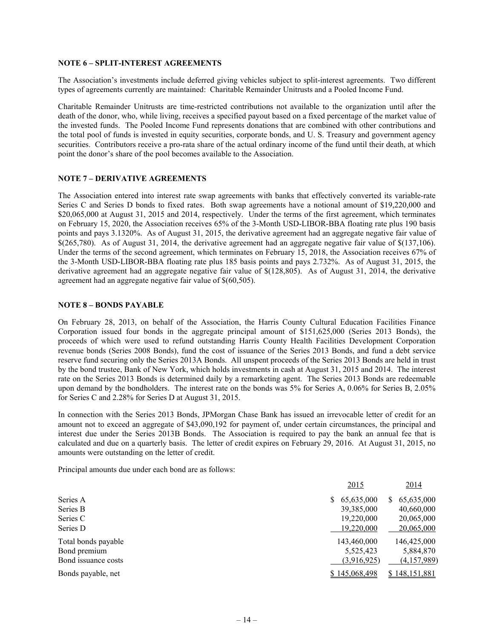#### **NOTE 6 – SPLIT-INTEREST AGREEMENTS**

The Association's investments include deferred giving vehicles subject to split-interest agreements. Two different types of agreements currently are maintained: Charitable Remainder Unitrusts and a Pooled Income Fund.

Charitable Remainder Unitrusts are time-restricted contributions not available to the organization until after the death of the donor, who, while living, receives a specified payout based on a fixed percentage of the market value of the invested funds. The Pooled Income Fund represents donations that are combined with other contributions and the total pool of funds is invested in equity securities, corporate bonds, and U. S. Treasury and government agency securities. Contributors receive a pro-rata share of the actual ordinary income of the fund until their death, at which point the donor's share of the pool becomes available to the Association.

#### **NOTE 7 – DERIVATIVE AGREEMENTS**

The Association entered into interest rate swap agreements with banks that effectively converted its variable-rate Series C and Series D bonds to fixed rates. Both swap agreements have a notional amount of \$19,220,000 and \$20,065,000 at August 31, 2015 and 2014, respectively. Under the terms of the first agreement, which terminates on February 15, 2020, the Association receives 65% of the 3-Month USD-LIBOR-BBA floating rate plus 190 basis points and pays 3.1320%. As of August 31, 2015, the derivative agreement had an aggregate negative fair value of  $$(265,780)$ . As of August 31, 2014, the derivative agreement had an aggregate negative fair value of  $$(137,106)$ . Under the terms of the second agreement, which terminates on February 15, 2018, the Association receives 67% of the 3-Month USD-LIBOR-BBA floating rate plus 185 basis points and pays 2.732%. As of August 31, 2015, the derivative agreement had an aggregate negative fair value of \$(128,805). As of August 31, 2014, the derivative agreement had an aggregate negative fair value of \$(60,505).

### **NOTE 8 – BONDS PAYABLE**

On February 28, 2013, on behalf of the Association, the Harris County Cultural Education Facilities Finance Corporation issued four bonds in the aggregate principal amount of \$151,625,000 (Series 2013 Bonds), the proceeds of which were used to refund outstanding Harris County Health Facilities Development Corporation revenue bonds (Series 2008 Bonds), fund the cost of issuance of the Series 2013 Bonds, and fund a debt service reserve fund securing only the Series 2013A Bonds. All unspent proceeds of the Series 2013 Bonds are held in trust by the bond trustee, Bank of New York, which holds investments in cash at August 31, 2015 and 2014. The interest rate on the Series 2013 Bonds is determined daily by a remarketing agent. The Series 2013 Bonds are redeemable upon demand by the bondholders. The interest rate on the bonds was 5% for Series A, 0.06% for Series B, 2.05% for Series C and 2.28% for Series D at August 31, 2015.

In connection with the Series 2013 Bonds, JPMorgan Chase Bank has issued an irrevocable letter of credit for an amount not to exceed an aggregate of \$43,090,192 for payment of, under certain circumstances, the principal and interest due under the Series 2013B Bonds. The Association is required to pay the bank an annual fee that is calculated and due on a quarterly basis. The letter of credit expires on February 29, 2016. At August 31, 2015, no amounts were outstanding on the letter of credit.

Principal amounts due under each bond are as follows:

|                     | 2015                 | <u>2014</u>      |
|---------------------|----------------------|------------------|
| Series A            | 65,635,000<br>S.     | 65,635,000<br>S. |
| Series B            | 39,385,000           | 40,660,000       |
| Series C            | 19,220,000           | 20,065,000       |
| Series D            | 19.220.000           | 20,065,000       |
| Total bonds payable | 143,460,000          | 146,425,000      |
| Bond premium        | 5,525,423            | 5,884,870        |
| Bond issuance costs | (3,916,925)          | (4,157,989)      |
| Bonds payable, net  | <u>\$145,068,498</u> | \$148,151,881    |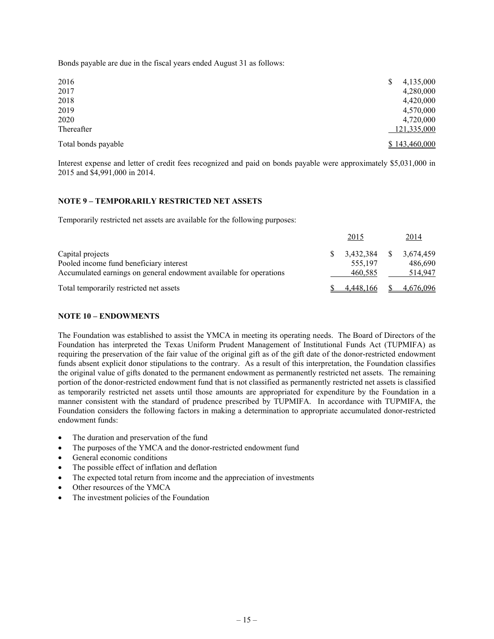Bonds payable are due in the fiscal years ended August 31 as follows:

| 2016                | 4,135,000     |
|---------------------|---------------|
| 2017                | 4,280,000     |
| 2018                | 4,420,000     |
| 2019                | 4,570,000     |
| 2020                | 4,720,000     |
| Thereafter          | 121,335,000   |
| Total bonds payable | \$143,460,000 |

Interest expense and letter of credit fees recognized and paid on bonds payable were approximately \$5,031,000 in 2015 and \$4,991,000 in 2014.

## **NOTE 9 – TEMPORARILY RESTRICTED NET ASSETS**

Temporarily restricted net assets are available for the following purposes:

|                                                                    | <u>2015</u> | <u>2014</u> |
|--------------------------------------------------------------------|-------------|-------------|
| Capital projects                                                   | 3.432.384   | 3.674.459   |
| Pooled income fund beneficiary interest                            | 555,197     | 486.690     |
| Accumulated earnings on general endowment available for operations | 460,585     | 514,947     |
| Total temporarily restricted net assets                            | 4,448,166   | 4,676,096   |

#### **NOTE 10 – ENDOWMENTS**

The Foundation was established to assist the YMCA in meeting its operating needs. The Board of Directors of the Foundation has interpreted the Texas Uniform Prudent Management of Institutional Funds Act (TUPMIFA) as requiring the preservation of the fair value of the original gift as of the gift date of the donor-restricted endowment funds absent explicit donor stipulations to the contrary. As a result of this interpretation, the Foundation classifies the original value of gifts donated to the permanent endowment as permanently restricted net assets. The remaining portion of the donor-restricted endowment fund that is not classified as permanently restricted net assets is classified as temporarily restricted net assets until those amounts are appropriated for expenditure by the Foundation in a manner consistent with the standard of prudence prescribed by TUPMIFA. In accordance with TUPMIFA, the Foundation considers the following factors in making a determination to appropriate accumulated donor-restricted endowment funds:

- The duration and preservation of the fund
- The purposes of the YMCA and the donor-restricted endowment fund
- General economic conditions
- The possible effect of inflation and deflation
- The expected total return from income and the appreciation of investments
- Other resources of the YMCA
- The investment policies of the Foundation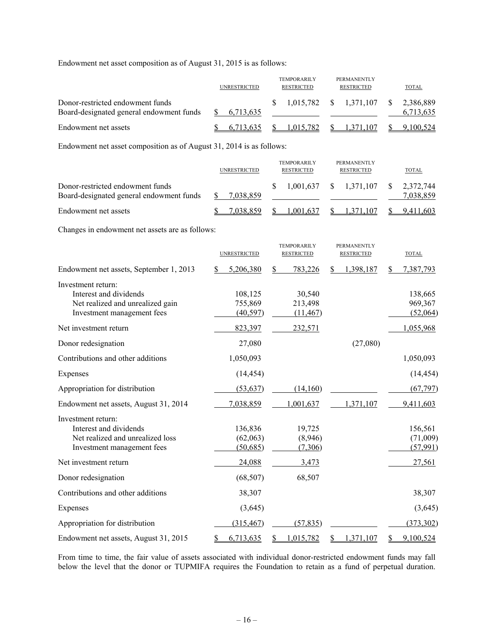Endowment net asset composition as of August 31, 2015 is as follows:

|                                                                              | <b>UNRESTRICTED</b> | <b>TEMPORARILY</b><br><b>RESTRICTED</b> | <b>PERMANENTLY</b><br><b>RESTRICTED</b> | TOTAL                  |
|------------------------------------------------------------------------------|---------------------|-----------------------------------------|-----------------------------------------|------------------------|
| Donor-restricted endowment funds<br>Board-designated general endowment funds | 6.713.635           |                                         | $1,015,782$ \$ $1,371,107$ \$           | 2,386,889<br>6.713.635 |
| Endowment net assets                                                         | 6.713.635           | 1.015.782                               | \$ 1.371.107                            | 9.100.524              |

Endowment net asset composition as of August 31, 2014 is as follows:

|                                                                              | <b>UNRESTRICTED</b> | <b>TEMPORARILY</b><br><b>RESTRICTED</b> | <b>PERMANENTLY</b><br><b>RESTRICTED</b>   | TOTAL     |
|------------------------------------------------------------------------------|---------------------|-----------------------------------------|-------------------------------------------|-----------|
| Donor-restricted endowment funds<br>Board-designated general endowment funds | 7.038.859           |                                         | $1,001,637$ \$ $1,371,107$ \$ $2,372,744$ | 7.038.859 |
| Endowment net assets                                                         | 7.038.859           | 1.001.637                               | 1,371,107                                 | 9,411,603 |

Changes in endowment net assets are as follows:

|                                                                                                                |          | <b>UNRESTRICTED</b>              |    | <b>TEMPORARILY</b><br><b>RESTRICTED</b> |   | <b>PERMANENTLY</b><br><b>RESTRICTED</b> |   | <b>TOTAL</b>                     |
|----------------------------------------------------------------------------------------------------------------|----------|----------------------------------|----|-----------------------------------------|---|-----------------------------------------|---|----------------------------------|
| Endowment net assets, September 1, 2013                                                                        |          | 5,206,380                        | \$ | 783,226                                 | S | 1,398,187                               |   | 7,387,793                        |
| Investment return:<br>Interest and dividends<br>Net realized and unrealized gain<br>Investment management fees |          | 108,125<br>755,869<br>(40, 597)  |    | 30,540<br>213,498<br>(11, 467)          |   |                                         |   | 138,665<br>969,367<br>(52,064)   |
| Net investment return                                                                                          |          | 823,397                          |    | 232,571                                 |   |                                         |   | 1,055,968                        |
| Donor redesignation                                                                                            |          | 27,080                           |    |                                         |   | (27,080)                                |   |                                  |
| Contributions and other additions                                                                              |          | 1,050,093                        |    |                                         |   |                                         |   | 1,050,093                        |
| Expenses                                                                                                       |          | (14, 454)                        |    |                                         |   |                                         |   | (14, 454)                        |
| Appropriation for distribution                                                                                 |          | (53, 637)                        |    | (14,160)                                |   |                                         |   | (67, 797)                        |
| Endowment net assets, August 31, 2014                                                                          |          | 7,038,859                        |    | 1,001,637                               |   | 1,371,107                               |   | 9,411,603                        |
| Investment return:<br>Interest and dividends<br>Net realized and unrealized loss<br>Investment management fees |          | 136,836<br>(62,063)<br>(50, 685) |    | 19,725<br>(8,946)<br>(7,306)            |   |                                         |   | 156,561<br>(71,009)<br>(57, 991) |
| Net investment return                                                                                          |          | 24,088                           |    | 3,473                                   |   |                                         |   | 27,561                           |
| Donor redesignation                                                                                            |          | (68, 507)                        |    | 68,507                                  |   |                                         |   |                                  |
| Contributions and other additions                                                                              |          | 38,307                           |    |                                         |   |                                         |   | 38,307                           |
| Expenses                                                                                                       |          | (3,645)                          |    |                                         |   |                                         |   | (3,645)                          |
| Appropriation for distribution                                                                                 |          | (315, 467)                       |    | (57, 835)                               |   |                                         |   | (373, 302)                       |
| Endowment net assets, August 31, 2015                                                                          | <u>s</u> | 6,713,635                        | S  | 1,015,782                               | S | 371.107                                 | S | 9,100,524                        |

From time to time, the fair value of assets associated with individual donor-restricted endowment funds may fall below the level that the donor or TUPMIFA requires the Foundation to retain as a fund of perpetual duration.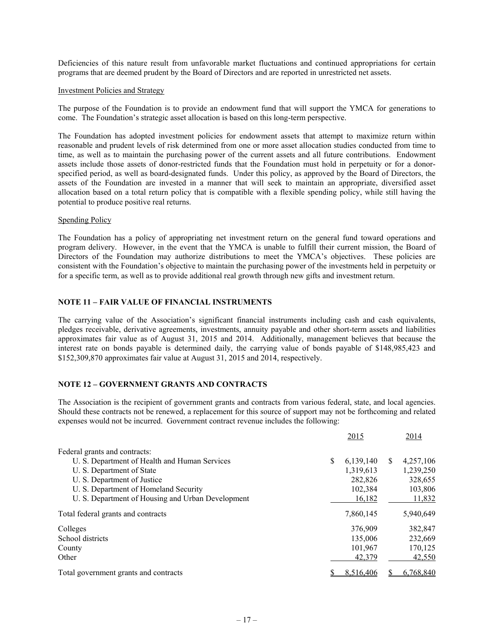Deficiencies of this nature result from unfavorable market fluctuations and continued appropriations for certain programs that are deemed prudent by the Board of Directors and are reported in unrestricted net assets.

#### Investment Policies and Strategy

The purpose of the Foundation is to provide an endowment fund that will support the YMCA for generations to come. The Foundation's strategic asset allocation is based on this long-term perspective.

The Foundation has adopted investment policies for endowment assets that attempt to maximize return within reasonable and prudent levels of risk determined from one or more asset allocation studies conducted from time to time, as well as to maintain the purchasing power of the current assets and all future contributions. Endowment assets include those assets of donor-restricted funds that the Foundation must hold in perpetuity or for a donorspecified period, as well as board-designated funds. Under this policy, as approved by the Board of Directors, the assets of the Foundation are invested in a manner that will seek to maintain an appropriate, diversified asset allocation based on a total return policy that is compatible with a flexible spending policy, while still having the potential to produce positive real returns.

#### Spending Policy

The Foundation has a policy of appropriating net investment return on the general fund toward operations and program delivery. However, in the event that the YMCA is unable to fulfill their current mission, the Board of Directors of the Foundation may authorize distributions to meet the YMCA's objectives. These policies are consistent with the Foundation's objective to maintain the purchasing power of the investments held in perpetuity or for a specific term, as well as to provide additional real growth through new gifts and investment return.

### **NOTE 11 – FAIR VALUE OF FINANCIAL INSTRUMENTS**

The carrying value of the Association's significant financial instruments including cash and cash equivalents, pledges receivable, derivative agreements, investments, annuity payable and other short-term assets and liabilities approximates fair value as of August 31, 2015 and 2014. Additionally, management believes that because the interest rate on bonds payable is determined daily, the carrying value of bonds payable of \$148,985,423 and \$152,309,870 approximates fair value at August 31, 2015 and 2014, respectively.

### **NOTE 12 – GOVERNMENT GRANTS AND CONTRACTS**

The Association is the recipient of government grants and contracts from various federal, state, and local agencies. Should these contracts not be renewed, a replacement for this source of support may not be forthcoming and related expenses would not be incurred. Government contract revenue includes the following:

|                                                   |     | 2015      |     | 2014      |
|---------------------------------------------------|-----|-----------|-----|-----------|
| Federal grants and contracts:                     |     |           |     |           |
| U. S. Department of Health and Human Services     | \$. | 6,139,140 | \$. | 4,257,106 |
| U. S. Department of State                         |     | 1,319,613 |     | 1,239,250 |
| U. S. Department of Justice                       |     | 282,826   |     | 328,655   |
| U. S. Department of Homeland Security             |     | 102,384   |     | 103,806   |
| U. S. Department of Housing and Urban Development |     | 16,182    |     | 11,832    |
| Total federal grants and contracts                |     | 7,860,145 |     | 5,940,649 |
| Colleges                                          |     | 376,909   |     | 382,847   |
| School districts                                  |     | 135,006   |     | 232,669   |
| County                                            |     | 101,967   |     | 170,125   |
| Other                                             |     | 42,379    |     | 42,550    |
| Total government grants and contracts             |     | 8.516.406 |     | 6.768.840 |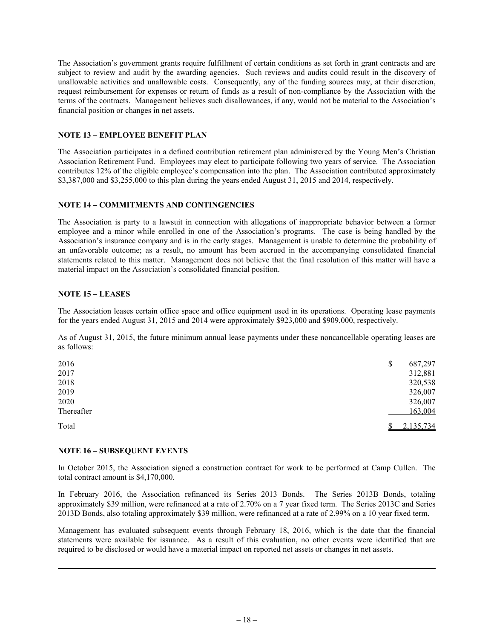The Association's government grants require fulfillment of certain conditions as set forth in grant contracts and are subject to review and audit by the awarding agencies. Such reviews and audits could result in the discovery of unallowable activities and unallowable costs. Consequently, any of the funding sources may, at their discretion, request reimbursement for expenses or return of funds as a result of non-compliance by the Association with the terms of the contracts. Management believes such disallowances, if any, would not be material to the Association's financial position or changes in net assets.

### **NOTE 13 – EMPLOYEE BENEFIT PLAN**

The Association participates in a defined contribution retirement plan administered by the Young Men's Christian Association Retirement Fund. Employees may elect to participate following two years of service. The Association contributes 12% of the eligible employee's compensation into the plan. The Association contributed approximately \$3,387,000 and \$3,255,000 to this plan during the years ended August 31, 2015 and 2014, respectively.

### **NOTE 14 – COMMITMENTS AND CONTINGENCIES**

The Association is party to a lawsuit in connection with allegations of inappropriate behavior between a former employee and a minor while enrolled in one of the Association's programs. The case is being handled by the Association's insurance company and is in the early stages. Management is unable to determine the probability of an unfavorable outcome; as a result, no amount has been accrued in the accompanying consolidated financial statements related to this matter. Management does not believe that the final resolution of this matter will have a material impact on the Association's consolidated financial position.

## **NOTE 15 – LEASES**

The Association leases certain office space and office equipment used in its operations. Operating lease payments for the years ended August 31, 2015 and 2014 were approximately \$923,000 and \$909,000, respectively.

As of August 31, 2015, the future minimum annual lease payments under these noncancellable operating leases are as follows:

| 2016       | 687,297<br>\$ |
|------------|---------------|
| 2017       | 312,881       |
| 2018       | 320,538       |
| 2019       | 326,007       |
| 2020       | 326,007       |
| Thereafter | 163,004       |
| Total      | 2,135,734     |

### **NOTE 16 – SUBSEQUENT EVENTS**

In October 2015, the Association signed a construction contract for work to be performed at Camp Cullen. The total contract amount is \$4,170,000.

In February 2016, the Association refinanced its Series 2013 Bonds. The Series 2013B Bonds, totaling approximately \$39 million, were refinanced at a rate of 2.70% on a 7 year fixed term. The Series 2013C and Series 2013D Bonds, also totaling approximately \$39 million, were refinanced at a rate of 2.99% on a 10 year fixed term.

Management has evaluated subsequent events through February 18, 2016, which is the date that the financial statements were available for issuance. As a result of this evaluation, no other events were identified that are required to be disclosed or would have a material impact on reported net assets or changes in net assets.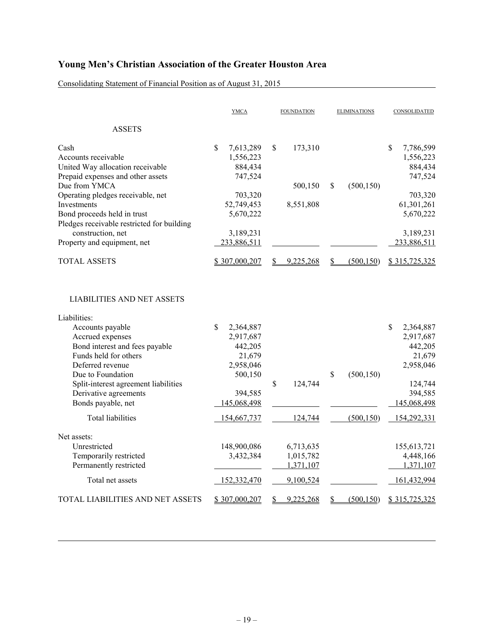Consolidating Statement of Financial Position as of August 31, 2015

|                                                                                                                               | <b>YMCA</b>                                                  | <b>FOUNDATION</b> | <b>ELIMINATIONS</b>    | CONSOLIDATED                                                 |
|-------------------------------------------------------------------------------------------------------------------------------|--------------------------------------------------------------|-------------------|------------------------|--------------------------------------------------------------|
| <b>ASSETS</b>                                                                                                                 |                                                              |                   |                        |                                                              |
| Cash<br>Accounts receivable<br>United Way allocation receivable<br>Prepaid expenses and other assets                          | $\mathbb{S}$<br>7,613,289<br>1,556,223<br>884,434<br>747,524 | \$<br>173,310     |                        | $\mathbb{S}$<br>7,786,599<br>1,556,223<br>884,434<br>747,524 |
| Due from YMCA                                                                                                                 |                                                              | 500,150           | \$<br>(500, 150)       |                                                              |
| Operating pledges receivable, net<br>Investments<br>Bond proceeds held in trust<br>Pledges receivable restricted for building | 703,320<br>52,749,453<br>5,670,222                           | 8,551,808         |                        | 703,320<br>61,301,261<br>5,670,222                           |
| construction, net                                                                                                             | 3,189,231                                                    |                   |                        | 3,189,231                                                    |
| Property and equipment, net                                                                                                   | 233,886,511                                                  |                   |                        | 233,886,511                                                  |
| <b>TOTAL ASSETS</b>                                                                                                           | \$307,000,207                                                | 9,225,268         | (500, 150)<br>\$       | \$315,725,325                                                |
| <b>LIABILITIES AND NET ASSETS</b>                                                                                             |                                                              |                   |                        |                                                              |
| Liabilities:                                                                                                                  |                                                              |                   |                        |                                                              |
| Accounts payable                                                                                                              | $\mathbb{S}$<br>2,364,887                                    |                   |                        | $\mathbb{S}$<br>2,364,887                                    |
| Accrued expenses                                                                                                              | 2,917,687                                                    |                   |                        | 2,917,687                                                    |
| Bond interest and fees payable<br>Funds held for others                                                                       | 442,205<br>21,679                                            |                   |                        | 442,205<br>21,679                                            |
| Deferred revenue                                                                                                              | 2,958,046                                                    |                   |                        | 2,958,046                                                    |
| Due to Foundation                                                                                                             | 500,150                                                      |                   | \$<br>(500, 150)       |                                                              |
| Split-interest agreement liabilities                                                                                          |                                                              | \$<br>124,744     |                        | 124,744                                                      |
| Derivative agreements                                                                                                         | 394,585                                                      |                   |                        | 394,585                                                      |
| Bonds payable, net                                                                                                            | 145,068,498                                                  |                   |                        | 145,068,498                                                  |
| <b>Total liabilities</b>                                                                                                      | 154,667,737                                                  | 124,744           | (500, 150)             | 154,292,331                                                  |
| Net assets:                                                                                                                   |                                                              |                   |                        |                                                              |
| Unrestricted                                                                                                                  | 148,900,086                                                  | 6,713,635         |                        | 155, 613, 721                                                |
| Temporarily restricted                                                                                                        | 3,432,384                                                    | 1,015,782         |                        | 4,448,166                                                    |
| Permanently restricted                                                                                                        |                                                              | 1,371,107         |                        | 1,371,107                                                    |
| Total net assets                                                                                                              | 152,332,470                                                  | 9,100,524         |                        | 161,432,994                                                  |
| TOTAL LIABILITIES AND NET ASSETS                                                                                              | \$307,000,207                                                | 9,225,268         | (500, 150)<br><u>s</u> | \$315,725,325                                                |